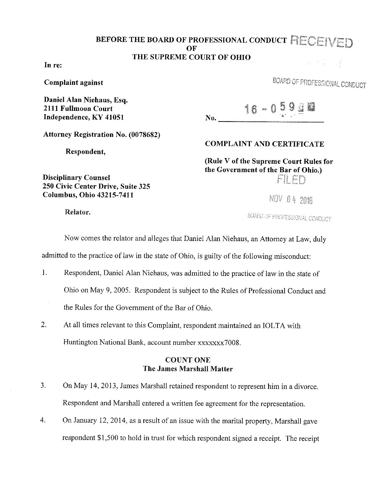### BEFORE THE BOARD OF PROFESSIONAL CONDUCT RECEIVED OF THE SUPREME COURT OF OHIO **WEBSTER**

In re:

Complaint against

Daniel Alan Niehans, Esq. 2111 Fullmoon Court Independence, KY 41051

BOARD OF PROFESSIONAL CONDUCT

16 - 059 and  $\bf{No.}$ 

Attorney Registration No. (0078682)

250 Civic Center Drive, Suite 325 Columbus, Ohio 43215-7411

Respondent,

COMPLAINT AND CERTIFICATE

(Rule V of the Supreme Court Rules for the Government of the Bar of Ohio.) Fil Fr

 $NOV$   $0.4$   $200$ 

Relator.

Disciplinary Counsel

BOARD OF PROFESSIONAL CONDUCT

Now comes the relator and alleges that Daniel Alan Niehaus, an Attorney at Law, duly

admitted to the practice of law in the state of Ohio, is guilty of the following misconduct:

- 1. Respondent, Daniel Alan Niehaus, was admitted to the practice of law in the state of Ohio on May 9, 2005. Respondent is subject to the Rules of Professional Conduct and the Rules for the Government of the Bar of Ohio.
- 2. At all times relevant to this Complaint, respondent maintained an IOLTA with Huntington National Bank, account number xxxxxxx7008.

### COUNT ONE The James Marshall Matter

- 3. On May 14, 2013, James Marshall retained respondent to represent him in a divorce. Respondent and Marshall entered a written fee agreement for the representation.
- 4. On January 12, 2014, as a result of an issue with the marital property, Marshall gave respondent \$1,500 to hold in trust for which respondent signed a receipt. The receipt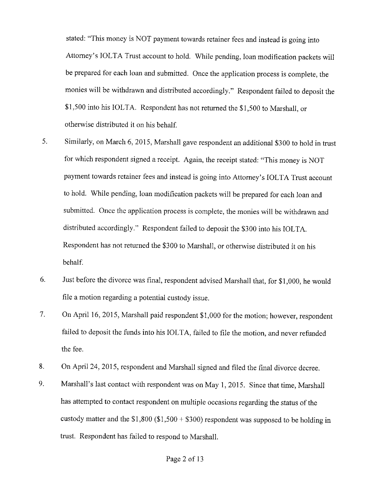stated: "This money is NOT payment towards retainer fees and instead is going into Attorney's IOLTA Trust account to hold. While pending, loan modification packets will be prepared for each loan and submitted. Once the application process is complete, the monies will be withdrawn and distributed accordingly." Respondent failed to deposit the \$1,500 into his IOLTA. Respondent has not returned the \$1,500 to Marshall, or otherwise distributed it on his behalf.

- 5. Similarly, on March 6, 2015, Marshall gave respondent an additional \$300 to hold in trust for which respondent signed a receipt. Again, the receipt stated: "This money is NOT payment towards retainer fees and instead is going into Attorney's IOLTA Trust account to hold. While pending, loan modification packets will be prepared for each loan and submitted. Once the application process is complete, the monies will be withdrawn and distributed accordingly." Respondent failed to deposit the \$300 into his IOLTA. Respondent has not returned the \$300 to Marshall, or otherwise distributed it on his behalf.
- 6. Just before the divorce was final, respondent advised Marshall that, for \$1,000, he would file a motion regarding a potential custody issue.
- 7. On April 16, 2015, Marshall paid respondent \$1,000 for the motion; however, respondent failed to deposit the funds into his IOLTA, failed to file the motion, and never refunded the fee.
- 8. On April 24, 2015, respondent and Marshall signed and filed the final divorce decree.
- 9. Marshall's last contact with respondent was on May 1, 2015. Since that time, Marshall has attempted to contact respondent on multiple occasions regarding the status of the custody matter and the  $$1,800 ($1,500 + $300)$  respondent was supposed to be holding in trust. Respondent has failed to respond to Marshall.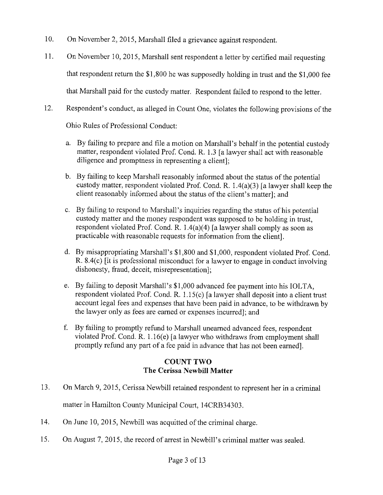- 10. On November 2, 2015, Marshall filed a grievance against respondent.
- 11. On November 10, 2015, Marshall sent respondent a letter by certified mail requesting that respondent return the \$1,800 he was supposedly holding in trust and the \$1,000 fee that Marshall paid for the custody matter. Respondent failed to respond to the letter.
- 12. Respondent's conduct, as alleged in Count One, violates the following provisions of the

Ohio Rules of Professional Conduct:

- a. By failing to prepare and file a motion on Marshall's behalf in the potential custody matter, respondent violated Prof. Cond. R. 1.3 [a lawyer shall act with reasonable diligence and promptness in representing a client];
- b. By failing to keep Marshall reasonably informed about the status of the potential custody matter, respondent violated Prof. Cond. R.  $1.4(a)(3)$  [a lawyer shall keep the client reasonably informed about the status of the client's matter]; and
- c. By failing to respond to Marshall's inquiries regarding the status of his potential custody matter and the money respondent was supposed to be holding in trust, respondent violated Prof. Cond. R. l.4(a)(4) [a lawyer shall comply as soon as practicable with reasonable requests for information from the client].
- d. By misappropriating Marshall's \$1,800 and \$1,000, respondent violated Prof. Cond. R. 8.4(c) [it is professional misconduct for a lawyer to engage in conduct involving dishonesty, fraud, deceit, misrepresentation];
- e. By failing to deposit Marshall's \$1,000 advanced fee payment into his IOLTA, respondent violated Prof. Cond. R. 1.15(c) [a lawyer shall deposit into a client trust account legal fees and expenses that have been paid in advance, to be withdrawn by the lawyer only as fees are earned or expenses incurred]; and
- f. By failing to promptly refund to Marshall unearned advanced fees, respondent violated Prof. Cond. R.  $1.16(e)$  [a lawyer who withdraws from employment shall promptly refund any part of a fee paid in advance that has not been earned].

#### **COUNT TWO The Cerissa Newbill Matter**

- 13. On March 9, 2015, Cerissa Newbill retained respondent to represent her in a criminal matter in Hamilton County Municipal Court, 14CRB34303.
- 14. On June 10, 2015, Newbill was acquitted of the criminal charge.
- 15. On August 7, 2015, the record of arrest in Newbill's criminal matter was sealed.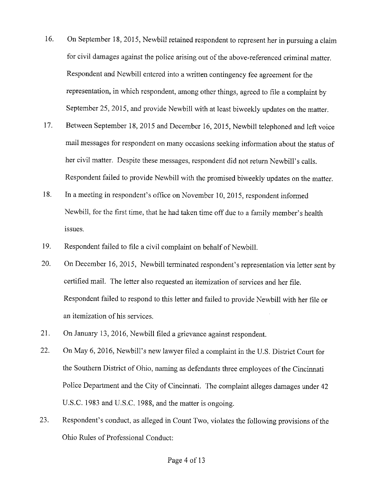- 16. On September 18, 2015, Newbill retained respondent to represent her in pursuing a claim for civil damages against the police arising out of the above-referenced criminal matter. Respondent and Newbill entered into a written contingency fee agreement for the representation, in which respondent, among other things, agreed to file a complaint by September 25, 2015, and provide Newbill with at least biweekly updates on the matter.
- 17. Between September 18, 2015 and December 16, 2015, Newbill telephoned and left voice mail messages for respondent on many occasions seeking information about the status of her civil matter. Despite these messages, respondent did not return Newbill's calls. Respondent failed to provide Newbill with the promised biweekly updates on the matter.
- 18. In a meeting in respondent's office on November 10, 2015, respondent informed Newbill, for the first time, that he had taken time off due to a family member's health issues.
- 19. Respondent failed to file a civil complaint on behalf of Newbill.
- 20. On December 16, 2015, Newbill terminated respondent's representation via letter sent by certified mail. The letter also requested an itemization of services and her file. Respondent failed to respond to this letter and failed to provide Newbill with her file or an itemization of his services.
- 21. On January 13, 2016, Newbill filed a grievance against respondent.
- 22. On May 6, 2016, Newbill's new lawyer filed a complaint in the U.S. District Court for the Southern District of Ohio, naming as defendants three employees of the Cincinnati Police Department and the City of Cincinnati. The complaint alleges damages under 42 U.S.C. 1983 and U.S.C. 1988, and the matter is ongoing.
- 23. Respondent's conduct, as alleged in Count Two, violates the following provisions of the Ohio Rules of Professional Conduct: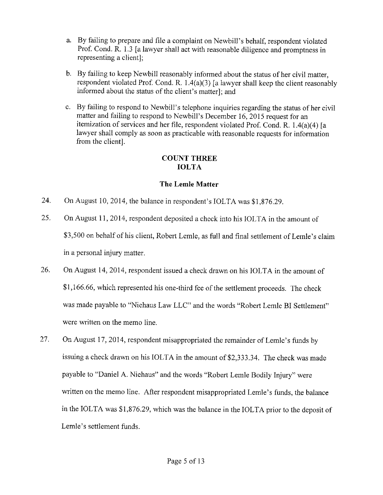- a. By failing to prepare and file a complaint on Newbill's behalf, respondent violated Prof. Cond. R. 1.3 [a lawyer shall act with reasonable diligence and promptness in representing a client];
- b. By failing to keep Newbill reasonably informed about the status of her civil matter, respondent violated Prof. Cond. R. l.4(a)(3) [a lawyer shall keep the client reasonably informed about the status of the client's matter]; and
- c. By failing to respond to Newbill's telephone inquiries regarding the status of her civil matter and failing to respond to Newbill's December 16, 2015 request for an itemization of services and her file, respondent violated Prof. Cond. R. l.4(a)(4) [a lawyer shall comply as soon as practicable with reasonable requests for information from the client].

## **COUNT THREE IOLTA**

## **The Lemle Matter**

- 24. On August 10, 2014, the balance in respondent's IOLTA was \$1,876.29.
- 25. On August 11, 2014, respondent deposited a check into his IOLTA in the amount of \$3,500 on behalf of his client, Robert Lemle, as full and final settlement of Lemle's claim in a personal injury matter.
- 26. On August 14, 2014, respondent issued a check drawn on his IOLTA in the amount of \$1,166.66, which represented his one-third fee of the settlement proceeds. The check was made payable to "Niehaus Law LLC" and the words "Robert Lemle BI Settlement" were written on the memo line.
- 27. On August 17, 2014, respondent misappropriated the remainder of Lemle's funds by issuing a check drawn on his IOLTA in the amount of \$2,333.34. The check was made payable to "Daniel A. Niehaus" and the words "Robert Lemle Bodily Injury" were written on the memo line. After respondent misappropriated Lemle's funds, the balance in the IOL TA was \$1,876.29, which was the balance in the IOLTA prior to the deposit of Lemle's settlement funds.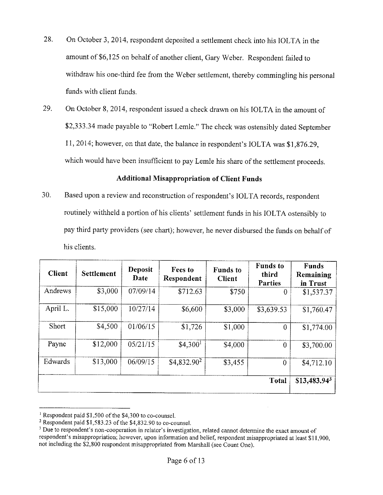- 28. On October 3, 2014, respondent deposited a settlement check into his IOLTA in the amount of \$6, 125 on behalf of another client, Gary Weber. Respondent failed to withdraw his one-third fee from the Weber settlement, thereby commingling his personal funds with client funds.
- 29. On October 8, 2014, respondent issued a check drawn on his IOLTA in the amount of \$2,333.34 made payable to "Robert Lemle." The check was ostensibly dated September 11, 2014; however, on that date, the balance in respondent's IOLTA was \$1,876.29, which would have been insufficient to pay Lemle his share of the settlement proceeds.

#### **Additional Misappropriation of Client Funds**

30. Based upon a review and reconstruction of respondent's IOL TA records, respondent routinely withheld a portion of his clients' settlement funds in his IOLTA ostensibly to pay third party providers (see chart); however, he never disbursed the funds on behalf of his clients.

| <b>Client</b> | <b>Settlement</b> | <b>Deposit</b><br>Date | Fees to<br>Respondent | <b>Funds</b> to<br><b>Client</b> | <b>Funds</b> to<br>third<br><b>Parties</b> | <b>Funds</b><br>Remaining<br>in Trust |
|---------------|-------------------|------------------------|-----------------------|----------------------------------|--------------------------------------------|---------------------------------------|
| Andrews       | \$3,000           | 07/09/14               | \$712.63              | \$750                            | $\bf{0}$                                   | \$1,537.37                            |
| April L.      | \$15,000          | 10/27/14               | \$6,600               | \$3,000                          | \$3,639.53                                 | \$1,760.47                            |
| Short         | \$4,500           | 01/06/15               | \$1,726               | \$1,000                          | $\theta$                                   | \$1,774.00                            |
| Payne         | \$12,000          | 05/21/15               | \$4,300 <sup>1</sup>  | \$4,000                          | $\overline{0}$                             | \$3,700.00                            |
| Edwards       | \$13,000          | 06/09/15               | $$4,832.90^2$         | \$3,455                          | $\theta$                                   | \$4,712.10                            |
|               |                   |                        |                       |                                  | <b>Total</b>                               | $$13,483.94^3$                        |

<sup>&</sup>lt;sup>1</sup> Respondent paid \$1,500 of the \$4,300 to co-counsel.<br><sup>2</sup> Respondent paid \$1,583.23 of the \$4,832.90 to co-counsel.<br><sup>3</sup> Due to respondent's non-cooperation in relator's investigation, related cannot determine the exact respondent's misappropriation; however, upon information and belief, respondent misappropriated at least \$11,900, not including the \$2,800 respondent misappropriated from Marshall (see Count One).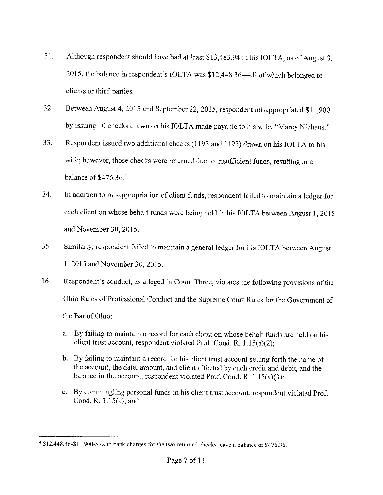- 31. Although respondent should have had at least \$13,483.94 in his IOLTA, as of August 3, 2015, the balance in respondent's IOLTA was \$12,448.36—all of which belonged to clients or third parties.
- 32. Between August 4, 2015 and September 22, 2015, respondent misappropriated \$11,900 by issuing 10 checks drawn on his IOLTA made payable to his wife, "Marcy Niehaus."
- 33. Respondent issued two additional checks (1193 and 1195) drawn on his IOLTA to his wife; however, those checks were returned due to insufficient funds, resulting in a balance of  $$476.36<sup>4</sup>$
- 34. In addition to misappropriation of client funds, respondent failed to maintain a ledger for each client on whose behalf funds were being held in his IOLTA between August 1, 2015 and November 30, 2015.
- 35. Similarly, respondent failed to maintain a general ledger for his IOLTA between August 1, 2015 and November 30, 2015.
- 36. Respondent's conduct, as alleged in Count Three, violates the following provisions of the Ohio Rules of Professional Conduct and the Supreme Court Rules for the Government of the Bar of Ohio:
	- a. By failing to maintain a record for each client on whose behalf funds are held on his client trust account, respondent violated Prof. Cond. R. l .15(a)(2);
	- b. By failing to maintain a record for his client trust account setting forth the name of the account, the date, amount, and client affected by each credit and debit, and the balance in the account, respondent violated Prof. Cond. R.  $1.15(a)(3)$ ;
	- c. By commingling personal funds in his client trust account, respondent violated Prof. Cond. R. l.15(a); and

<sup>&</sup>lt;sup>4</sup> \$12,448.36-\$11,900-\$72 in bank charges for the two returned checks leave a balance of \$476.36.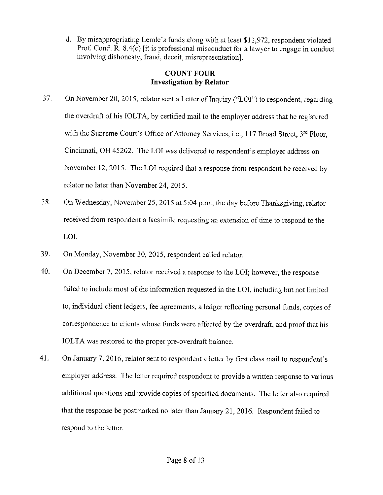d. By misappropriating Lemle's funds along with at least \$11,972, respondent violated Prof. Cond. R. 8.4(c) [it is professional misconduct for a lawyer to engage in conduct involving dishonesty, fraud, deceit, misrepresentation].

### **COUNT FOUR Investigation by Relator**

- 37. On November 20, 2015, relator sent a Letter of Inquiry ("LOI") to respondent, regarding the overdraft of his IOLTA, by certified mail to the employer address that he registered with the Supreme Court's Office of Attorney Services, i.e., 117 Broad Street, 3<sup>rd</sup> Floor, Cincinnati, OH 45202. The LOI was delivered to respondent's employer address on November 12, 2015. The LOI required that a response from respondent be received by relator no later than November 24, 2015.
- 38. On Wednesday, November 25, 2015 at 5:04 p.m., the day before Thanksgiving, relator received from respondent a facsimile requesting an extension of time to respond to the LOI.
- 39. On Monday, November 30, 2015, respondent called relator.
- 40. On December 7, 2015, relator received a response to the LOI; however, the response failed to include most of the information requested in the LOI, including but not limited to, individual client ledgers, fee agreements, a ledger reflecting personal funds, copies of correspondence to clients whose funds were affected by the overdraft, and proof that his IOLTA was restored to the proper pre-overdraft balance.
- 41. On January 7, 2016, relator sent to respondent a letter by first class mail to respondent's employer address. The letter required respondent to provide a written response to various additional questions and provide copies of specified documents. The letter also required that the response be postmarked no later than January 21, 2016. Respondent failed to respond to the letter.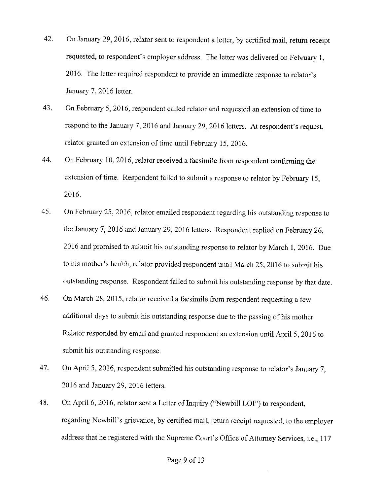- 42. On January 29, 2016, relator sent to respondent a letter, by certified mail, return receipt requested, to respondent's employer address. The letter was delivered on February 1, 2016. The letter required respondent to provide an immediate response to relator's January 7, 2016 letter.
- 43. On February 5, 2016, respondent called relator and requested an extension of time to respond to the January 7, 2016 and January 29, 2016 letters. At respondent's request, relator granted an extension of time until February 15, 2016.
- 44. On February 10, 2016, relator received a facsimile from respondent confirming the extension of time. Respondent failed to submit a response to relator by February 15, 2016.
- 45. On February 25, 2016, relator emailed respondent regarding his outstanding response to the January 7, 2016 and January 29, 2016 letters. Respondent replied on February 26, 2016 and promised to submit his outstanding response to relator by March 1, 2016. Due to his mother's health, relator provided respondent until March 25, 2016 to submit his outstanding response. Respondent failed to submit his outstanding response by that date.
- 46. On March 28, 2015, relator received a facsimile from respondent requesting a few additional days to submit his outstanding response due to the passing of his mother. Relator responded by email and granted respondent an extension until April 5, 2016 to submit his outstanding response.
- 47. On April 5, 2016, respondent submitted his outstanding response to relator's January 7, 2016 and January 29, 2016 letters.
- 48. On April 6, 2016, relator sent a Letter of Inquiry ("Newbill LOI") to respondent, regarding Newbill's grievance, by certified mail, return receipt requested, to the employer address that he registered with the Supreme Court's Office of Attorney Services, i.e., 117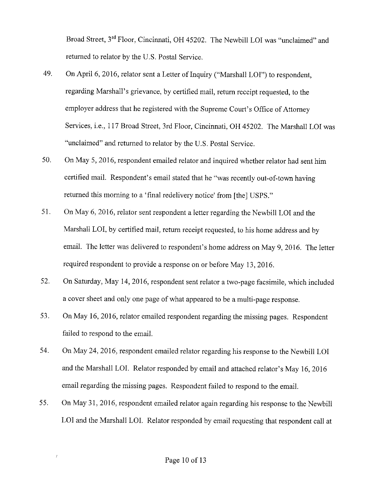Broad Street, 3rd Floor, Cincinnati, OH 45202. The Newbill LOI was "unclaimed" and returned to relator by the U.S. Postal Service.

- 49. On April 6, 2016, relator sent a Letter of Inquiry ("Marshall LOI") to respondent, regarding Marshall's grievance, by certified mail, return receipt requested, to the employer address that he registered with the Supreme Court's Office of Attorney Services, i.e., 117 Broad Street, 3rd Floor, Cincinnati, OH 45202. The Marshall LOI was "unclaimed" and returned to relator by the U.S. Postal Service.
- 50. On May 5, 2016, respondent emailed relator and inquired whether relator had sent him certified mail. Respondent's email stated that he "was recently out-of-town having returned this morning to a 'final redelivery notice' from [the] USPS."
- 51. On May 6, 2016, relator sent respondent a letter regarding the Newbill LOI and the Marshall LOI, by certified mail, return receipt requested, to his home address and by email. The letter was delivered to respondent's home address on May 9, 2016. The letter required respondent to provide a response on or before May 13, 2016.
- 52. On Saturday, May 14, 2016, respondent sent relator a two-page facsimile, which included a cover sheet and only one page of what appeared to be a multi-page response.
- 53. On May 16, 2016, relator emailed respondent regarding the missing pages. Respondent failed to respond to the email.
- 54. On May 24, 2016, respondent emailed relator regarding his response to the Newbill LOI and the Marshall LOI. Relator responded by email and attached relator's May 16, 2016 email regarding the missing pages. Respondent failed to respond to the email.
- 55. On May 31, 2016, respondent emailed relator again regarding his response to the Newbill LOI and the Marshall LOI. Relator responded by email requesting that respondent call at

 $\boldsymbol{J}$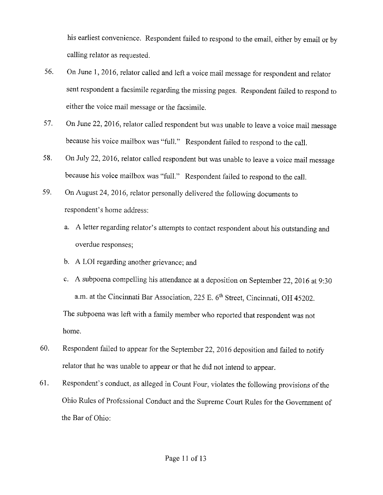his earliest convenience. Respondent failed to respond to the email, either by email or by calling relator as requested.

- 56. On June 1, 2016, relator called and left a voice mail message for respondent and relator sent respondent a facsimile regarding the missing pages. Respondent failed to respond to either the voice mail message or the facsimile.
- 57. On June 22, 2016, relator called respondent but was unable to leave a voice mail message because his voice mailbox was "full." Respondent failed to respond to the call.
- 58. On July 22, 2016, relator called respondent but was unable to leave a voice mail message because his voice mailbox was "full." Respondent failed to respond to the call.
- 59. On August 24, 2016, relator personally delivered the following documents to respondent's home address:
	- a. A letter regarding relator's attempts to contact respondent about his outstanding and overdue responses;
	- b. A LOI regarding another grievance; and
	- c. A subpoena compelling his attendance at a deposition on September 22, 2016 at 9:30 a.m. at the Cincinnati Bar Association, 225 E. 6'h Street, Cincinnati, OH 45202. The subpoena was left with a family member who reported that respondent was not home.
- 60. Respondent failed to appear for the September 22, 2016 deposition and failed to notify relator that he was unable to appear or that he did not intend to appear.
- 61. Respondent's conduct, as alleged in Count Four, violates the following provisions of the Ohio Rules of Professional Conduct and the Supreme Court Rules for the Government of the Bar of Ohio: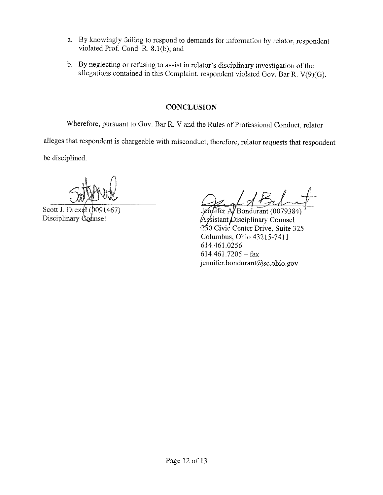- a. By knowingly failing to respond to demands for information by relator, respondent violated Prof. Cond. R. 8.l(b); and
- b. By neglecting or refusing to assist in relator's disciplinary investigation of the allegations contained in this Complaint, respondent violated Gov. Bar R. V(9)(G).

# **CONCLUSION**

Wherefore, pursuant to Gov. Bar R. V and the Rules of Professional Conduct, relator

alleges that respondent is chargeable with misconduct; therefore, relator requests that respondent

be disciplined.

Scott J. Drex $\&$ l ( $b$ 091467) Disciplinary Counsel

 $\widehat{\text{aifer Al}}$ Bondurant (0079384) Assistant Disciplinary Counsel  $\frac{1}{250}$  Civic Center Drive, Suite 325 Columbus, Ohio 43215-7411 614.461.0256  $614.461.7205 - fax$ jennifer.bondurant@sc.ohio.gov